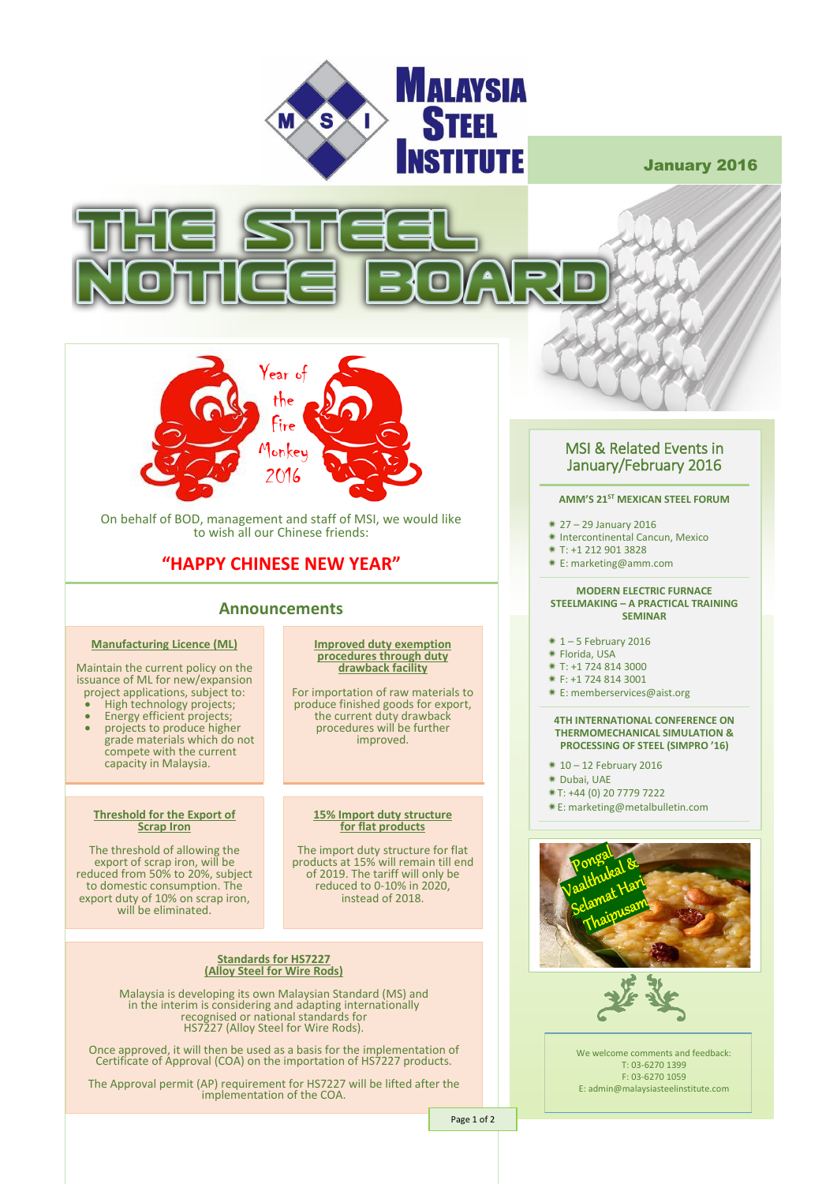

January 2016





On behalf of BOD, management and staff of MSI, we would like to wish all our Chinese friends:

# **"HAPPY CHINESE NEW YEAR"**

## **Announcements**

## **Manufacturing Licence (ML)**

Maintain the current policy on the issuance of ML for new/expansion project applications, subject to: • High technology projects;

- Energy efficient projects;
- 
- projects to produce higher grade materials which do not compete with the current capacity in Malaysia.

### **Threshold for the Export of Scrap Iron**

The threshold of allowing the export of scrap iron, will be reduced from 50% to 20%, subject to domestic consumption. The export duty of 10% on scrap iron, will be eliminated.

**Improved duty exemption procedures through duty drawback facility**

For importation of raw materials to produce finished goods for export, the current duty drawback procedures will be further improved.

### **15% Import duty structure for flat products**

The import duty structure for flat products at 15% will remain till end of 2019. The tariff will only be reduced to 0-10% in 2020, instead of 2018.

### **Standards for HS7227 (Alloy Steel for Wire Rods)**

Malaysia is developing its own Malaysian Standard (MS) and in the interim is considering and adapting internationally recognised or national standards for HS7227 (Alloy Steel for Wire Rods).

Once approved, it will then be used as a basis for the implementation of Certificate of Approval (COA) on the importation of HS7227 products.

The Approval permit (AP) requirement for HS7227 will be lifted after the implementation of the COA.

## MSI & Related Events in January/February 2016

## **AMM'S 21ST MEXICAN STEEL FORUM**

- 27 29 January 2016
- \* Intercontinental Cancun, Mexico
- T: +1 212 901 3828
- E: marketing@amm.com

#### **MODERN ELECTRIC FURNACE STEELMAKING – A PRACTICAL TRAINING SEMINAR**

- $*1 5$  February 2016
- Florida, USA
- 
- T: +1 724 814 3000
- F: +1 724 814 3001
- E: memberservices@aist.org

#### **4TH INTERNATIONAL CONFERENCE ON THERMOMECHANICAL SIMULATION & PROCESSING OF STEEL (SIMPRO '16)**

- $*10 12$  February 2016
- Dubai, UAE
- T: +44 (0) 20 7779 7222
- E: marketing@metalbulletin.com





We welcome comments and feedback: T: 03-6270 1399 F: 03-6270 1059 E: admin@malaysiasteelinstitute.com